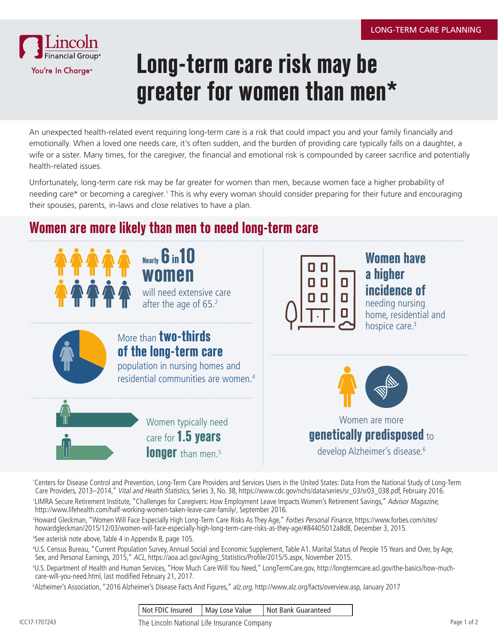

# **Long-term care risk may be greater for women than men\***

An unexpected health-related event requiring long-term care is a risk that could impact you and your family financially and emotionally. When a loved one needs care, it's often sudden, and the burden of providing care typically falls on a daughter, a wife or a sister. Many times, for the caregiver, the financial and emotional risk is compounded by career sacrifice and potentially health-related issues.

Unfortunately, long-term care risk may be far greater for women than men, because women face a higher probability of needing care\* or becoming a caregiver.<sup>1</sup> This is why every woman should consider preparing for their future and encouraging their spouses, parents, in-laws and close relatives to have a plan.

## **Women are more likely than men to need long-term care**



\* Centers for Disease Control and Prevention, Long-Term Care Providers and Services Users in the United States: Data From the National Study of Long-Term Care Providers, 2013–2014," Vital and Health Statistics, Series 3, No. 38, https://www.cdc.gov/nchs/data/series/sr\_03/sr03\_038.pdf, February 2016.

'LIMRA Secure Retirement Institute, "Challenges for Caregivers: How Employment Leave Impacts Women's Retirement Savings," Advisor Magazine, http://www.lifehealth.com/half-working-women-taken-leave-care-family/, September 2016.

<sup>2</sup>Howard Gleckman, "Women Will Face Especially High Long-Term Care Risks As They Age," *Forbes Personal Finance*, https://www.forbes.com/sites/ howardgleckman/2015/12/03/women-will-face-especially-high-long-term-care-risks-as-they-age/#84405012a8d8, December 3, 2015.

3 See asterisk note above, Table 4 in Appendix B, page 105.

4 U.S. Census Bureau, "Current Population Survey, Annual Social and Economic Supplement, Table A1. Marital Status of People 15 Years and Over, by Age, Sex, and Personal Earnings, 2015," ACL, https://aoa.acl.gov/Aging\_Statistics/Profile/2015/5.aspx, November 2015.

5 U.S. Department of Health and Human Services, "How Much Care Will You Need," LongTermCare.gov, http://longtermcare.acl.gov/the-basics/how-muchcare-will-you-need.html, last modified February 21, 2017.

6 Alzheimer's Association, "2016 Alzheimer's Disease Facts And Figures," alz.org, http://www.alz.org/facts/overview.asp, January 2017

|  |  |  | Not FDIC Insured   May Lose Value   Not Bank Guaranteed |
|--|--|--|---------------------------------------------------------|
|--|--|--|---------------------------------------------------------|

ICC17-1707243 Page 1 of 2 The Lincoln National Life Insurance Company